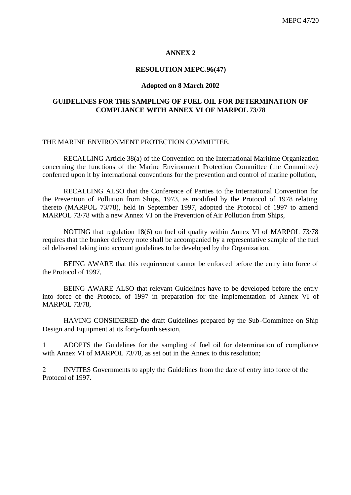#### **ANNEX 2**

#### **RESOLUTION MEPC.96(47)**

#### **Adopted on 8 March 2002**

#### **GUIDELINES FOR THE SAMPLING OF FUEL OIL FOR DETERMINATION OF COMPLIANCE WITH ANNEX VI OF MARPOL 73/78**

#### THE MARINE ENVIRONMENT PROTECTION COMMITTEE,

RECALLING Article 38(a) of the Convention on the International Maritime Organization concerning the functions of the Marine Environment Protection Committee (the Committee) conferred upon it by international conventions for the prevention and control of marine pollution,

RECALLING ALSO that the Conference of Parties to the International Convention for the Prevention of Pollution from Ships, 1973, as modified by the Protocol of 1978 relating thereto (MARPOL 73/78), held in September 1997, adopted the Protocol of 1997 to amend MARPOL 73/78 with a new Annex VI on the Prevention of Air Pollution from Ships,

NOTING that regulation 18(6) on fuel oil quality within Annex VI of MARPOL 73/78 requires that the bunker delivery note shall be accompanied by a representative sample of the fuel oil delivered taking into account guidelines to be developed by the Organization,

BEING AWARE that this requirement cannot be enforced before the entry into force of the Protocol of 1997,

BEING AWARE ALSO that relevant Guidelines have to be developed before the entry into force of the Protocol of 1997 in preparation for the implementation of Annex VI of MARPOL 73/78,

HAVING CONSIDERED the draft Guidelines prepared by the Sub-Committee on Ship Design and Equipment at its forty-fourth session,

1 ADOPTS the Guidelines for the sampling of fuel oil for determination of compliance with Annex VI of MARPOL 73/78, as set out in the Annex to this resolution;

2 INVITES Governments to apply the Guidelines from the date of entry into force of the Protocol of 1997.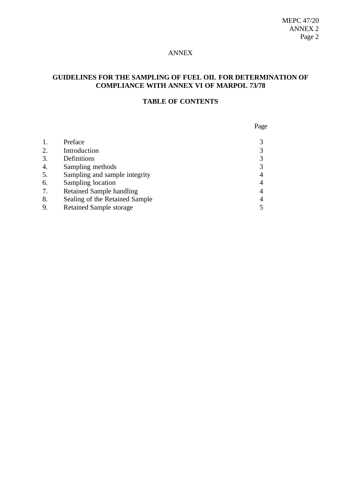#### ANNEX

# **GUIDELINES FOR THE SAMPLING OF FUEL OIL FOR DETERMINATION OF COMPLIANCE WITH ANNEX VI OF MARPOL 73/78**

## **TABLE OF CONTENTS**

|    |                                 | Page |
|----|---------------------------------|------|
| 1. | Preface                         |      |
| 2. | Introduction                    |      |
| 3. | Definitions                     | 3    |
| 4. | Sampling methods                | 3    |
| 5. | Sampling and sample integrity   |      |
| 6. | Sampling location               |      |
| 7. | <b>Retained Sample handling</b> |      |
| 8. | Sealing of the Retained Sample  | 4    |
| 9. | <b>Retained Sample storage</b>  |      |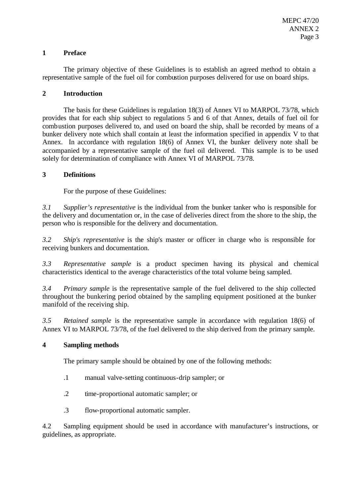#### **1 Preface**

The primary objective of these Guidelines is to establish an agreed method to obtain a representative sample of the fuel oil for combustion purposes delivered for use on board ships.

#### **2 Introduction**

The basis for these Guidelines is regulation 18(3) of Annex VI to MARPOL 73/78, which provides that for each ship subject to regulations 5 and 6 of that Annex, details of fuel oil for combustion purposes delivered to, and used on board the ship, shall be recorded by means of a bunker delivery note which shall contain at least the information specified in appendix V to that Annex. In accordance with regulation 18(6) of Annex VI, the bunker delivery note shall be accompanied by a representative sample of the fuel oil delivered. This sample is to be used solely for determination of compliance with Annex VI of MARPOL 73/78.

## **3 Definitions**

For the purpose of these Guidelines:

*3.1 Supplier's representative* is the individual from the bunker tanker who is responsible for the delivery and documentation or, in the case of deliveries direct from the shore to the ship, the person who is responsible for the delivery and documentation.

*3.2 Ship's representative* is the ship's master or officer in charge who is responsible for receiving bunkers and documentation.

*3.3 Representative sample* is a product specimen having its physical and chemical characteristics identical to the average characteristics of the total volume being sampled.

*3.4 Primary sample* is the representative sample of the fuel delivered to the ship collected throughout the bunkering period obtained by the sampling equipment positioned at the bunker manifold of the receiving ship.

*3.5 Retained sample* is the representative sample in accordance with regulation 18(6) of Annex VI to MARPOL 73/78, of the fuel delivered to the ship derived from the primary sample.

## **4 Sampling methods**

The primary sample should be obtained by one of the following methods:

- .1 manual valve-setting continuous-drip sampler; or
- .2 time-proportional automatic sampler; or
- .3 flow-proportional automatic sampler.

4.2 Sampling equipment should be used in accordance with manufacturer's instructions, or guidelines, as appropriate.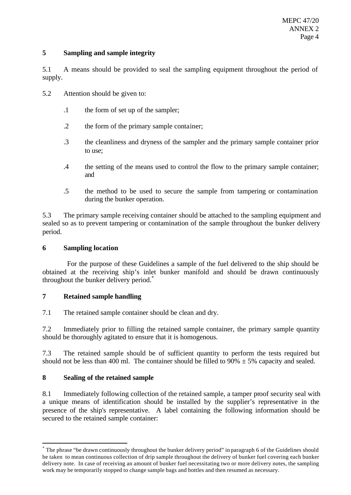#### **5 Sampling and sample integrity**

5.1 A means should be provided to seal the sampling equipment throughout the period of supply.

- 5.2 Attention should be given to:
	- .1 the form of set up of the sampler;
	- .2 the form of the primary sample container;
	- .3 the cleanliness and dryness of the sampler and the primary sample container prior to use;
	- .4 the setting of the means used to control the flow to the primary sample container; and
	- .5 the method to be used to secure the sample from tampering or contamination during the bunker operation.

5.3 The primary sample receiving container should be attached to the sampling equipment and sealed so as to prevent tampering or contamination of the sample throughout the bunker delivery period.

#### **6 Sampling location**

For the purpose of these Guidelines a sample of the fuel delivered to the ship should be obtained at the receiving ship's inlet bunker manifold and should be drawn continuously throughout the bunker delivery period.<sup>\*</sup>

## **7 Retained sample handling**

7.1 The retained sample container should be clean and dry.

7.2 Immediately prior to filling the retained sample container, the primary sample quantity should be thoroughly agitated to ensure that it is homogenous.

7.3 The retained sample should be of sufficient quantity to perform the tests required but should not be less than 400 ml. The container should be filled to 90%  $\pm$  5% capacity and sealed.

## **8 Sealing of the retained sample**

l

8.1 Immediately following collection of the retained sample, a tamper proof security seal with a unique means of identification should be installed by the supplier's representative in the presence of the ship's representative. A label containing the following information should be secured to the retained sample container:

<sup>\*</sup> The phrase "be drawn continuously throughout the bunker delivery period" in paragraph 6 of the Guidelines should be taken to mean continuous collection of drip sample throughout the delivery of bunker fuel covering each bunker delivery note. In case of receiving an amount of bunker fuel necessitating two or more delivery notes, the sampling work may be temporarily stopped to change sample bags and bottles and then resumed as necessary.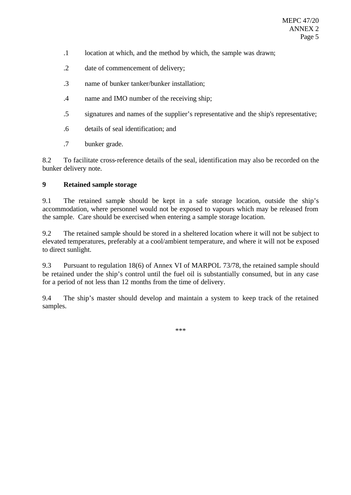- .1 location at which, and the method by which, the sample was drawn;
- .2 date of commencement of delivery;
- .3 name of bunker tanker/bunker installation;
- .4 name and IMO number of the receiving ship;
- .5 signatures and names of the supplier's representative and the ship's representative;
- .6 details of seal identification; and
- .7 bunker grade.

8.2 To facilitate cross-reference details of the seal, identification may also be recorded on the bunker delivery note.

## **9 Retained sample storage**

9.1 The retained sample should be kept in a safe storage location, outside the ship's accommodation, where personnel would not be exposed to vapours which may be released from the sample. Care should be exercised when entering a sample storage location.

9.2 The retained sample should be stored in a sheltered location where it will not be subject to elevated temperatures, preferably at a cool/ambient temperature, and where it will not be exposed to direct sunlight.

9.3 Pursuant to regulation 18(6) of Annex VI of MARPOL 73/78, the retained sample should be retained under the ship's control until the fuel oil is substantially consumed, but in any case for a period of not less than 12 months from the time of delivery.

9.4 The ship's master should develop and maintain a system to keep track of the retained samples.

\*\*\*